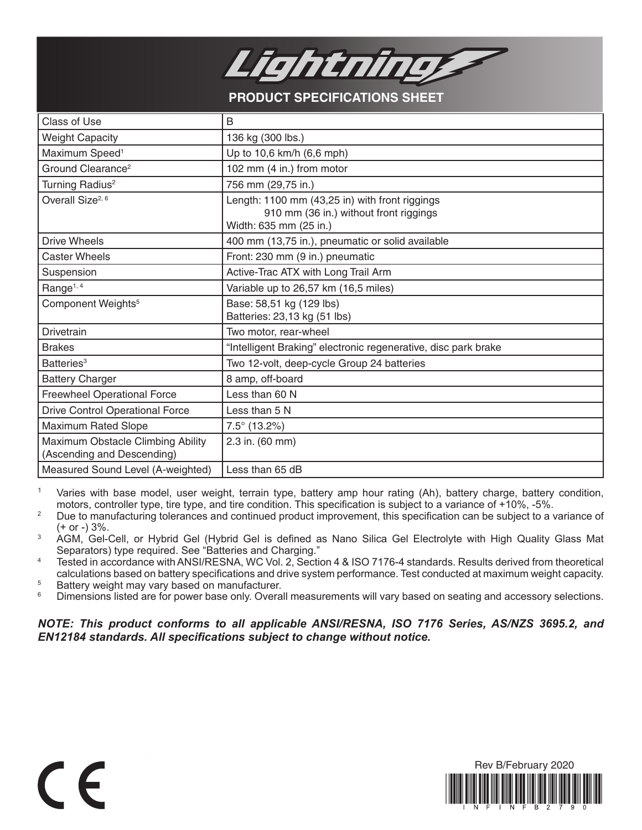

**PRODUCT SPECIFICATIONS SHEET**

| <b>Class of Use</b>                                             | B                                                                                                                  |
|-----------------------------------------------------------------|--------------------------------------------------------------------------------------------------------------------|
| <b>Weight Capacity</b>                                          | 136 kg (300 lbs.)                                                                                                  |
| Maximum Speed <sup>1</sup>                                      | Up to 10,6 km/h (6,6 mph)                                                                                          |
| Ground Clearance <sup>2</sup>                                   | 102 mm (4 in.) from motor                                                                                          |
| Turning Radius <sup>2</sup>                                     | 756 mm (29,75 in.)                                                                                                 |
| Overall Size <sup>2, 6</sup>                                    | Length: 1100 mm (43,25 in) with front riggings<br>910 mm (36 in.) without front riggings<br>Width: 635 mm (25 in.) |
| <b>Drive Wheels</b>                                             | 400 mm (13,75 in.), pneumatic or solid available                                                                   |
| <b>Caster Wheels</b>                                            | Front: 230 mm (9 in.) pneumatic                                                                                    |
| Suspension                                                      | Active-Trac ATX with Long Trail Arm                                                                                |
| Range <sup>1, 4</sup>                                           | Variable up to 26,57 km (16,5 miles)                                                                               |
| Component Weights <sup>5</sup>                                  | Base: 58,51 kg (129 lbs)<br>Batteries: 23,13 kg (51 lbs)                                                           |
| Drivetrain                                                      | Two motor, rear-wheel                                                                                              |
| <b>Brakes</b>                                                   | "Intelligent Braking" electronic regenerative, disc park brake                                                     |
| Batteries <sup>3</sup>                                          | Two 12-volt, deep-cycle Group 24 batteries                                                                         |
| <b>Battery Charger</b>                                          | 8 amp, off-board                                                                                                   |
| <b>Freewheel Operational Force</b>                              | Less than 60 N                                                                                                     |
| <b>Drive Control Operational Force</b>                          | Less than 5 N                                                                                                      |
| Maximum Rated Slope                                             | $7.5^{\circ}$ (13.2%)                                                                                              |
| Maximum Obstacle Climbing Ability<br>(Ascending and Descending) | 2.3 in. (60 mm)                                                                                                    |
| Measured Sound Level (A-weighted)                               | Less than 65 dB                                                                                                    |

<sup>1</sup> Varies with base model, user weight, terrain type, battery amp hour rating (Ah), battery charge, battery condition, motors, controller type, tire type, and tire condition. This specification is subject to a variance of +10%, -5%.

- <sup>2</sup> Due to manufacturing tolerances and continued product improvement, this specification can be subject to a variance of (+ or -) 3%.
- <sup>3</sup> AGM, Gel-Cell, or Hybrid Gel (Hybrid Gel is defined as Nano Silica Gel Electrolyte with High Quality Glass Mat Separators) type required. See "Batteries and Charging."
- <sup>4</sup> Tested in accordance with ANSI/RESNA, WC Vol. 2, Section 4 & ISO 7176-4 standards. Results derived from theoretical calculations based on battery specifications and drive system performance. Test conducted at maximum weight capacity.

<sup>5</sup> Battery weight may vary based on manufacturer.<br><sup>6</sup> Dimensions listed are for power base only Overa

 $\epsilon$ 

Dimensions listed are for power base only. Overall measurements will vary based on seating and accessory selections.

*NOTE: This product conforms to all applicable ANSI/RESNA, ISO 7176 Series, AS/NZS 3695.2, and EN12184 standards. All specifications subject to change without notice.*